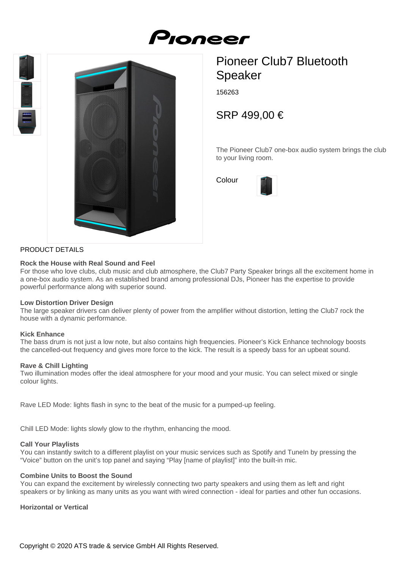# Proneer





# Pioneer Club7 Bluetooth Speaker

156263

SRP 499,00 €

The Pioneer Club7 one-box audio system brings the club to your living room.

Colour



# PRODUCT DETAILS

#### **Rock the House with Real Sound and Feel**

For those who love clubs, club music and club atmosphere, the Club7 Party Speaker brings all the excitement home in a one-box audio system. As an established brand among professional DJs, Pioneer has the expertise to provide powerful performance along with superior sound.

# **Low Distortion Driver Design**

The large speaker drivers can deliver plenty of power from the amplifier without distortion, letting the Club7 rock the house with a dynamic performance.

# **Kick Enhance**

The bass drum is not just a low note, but also contains high frequencies. Pioneer's Kick Enhance technology boosts the cancelled-out frequency and gives more force to the kick. The result is a speedy bass for an upbeat sound.

# **Rave & Chill Lighting**

Two illumination modes offer the ideal atmosphere for your mood and your music. You can select mixed or single colour lights.

Rave LED Mode: lights flash in sync to the beat of the music for a pumped-up feeling.

Chill LED Mode: lights slowly glow to the rhythm, enhancing the mood.

# **Call Your Playlists**

You can instantly switch to a different playlist on your music services such as Spotify and TuneIn by pressing the "Voice" button on the unit's top panel and saying "Play [name of playlist]" into the built-in mic.

# **Combine Units to Boost the Sound**

You can expand the excitement by wirelessly connecting two party speakers and using them as left and right speakers or by linking as many units as you want with wired connection - ideal for parties and other fun occasions.

**Horizontal or Vertical**

Copyright © 2020 ATS trade & service GmbH All Rights Reserved.